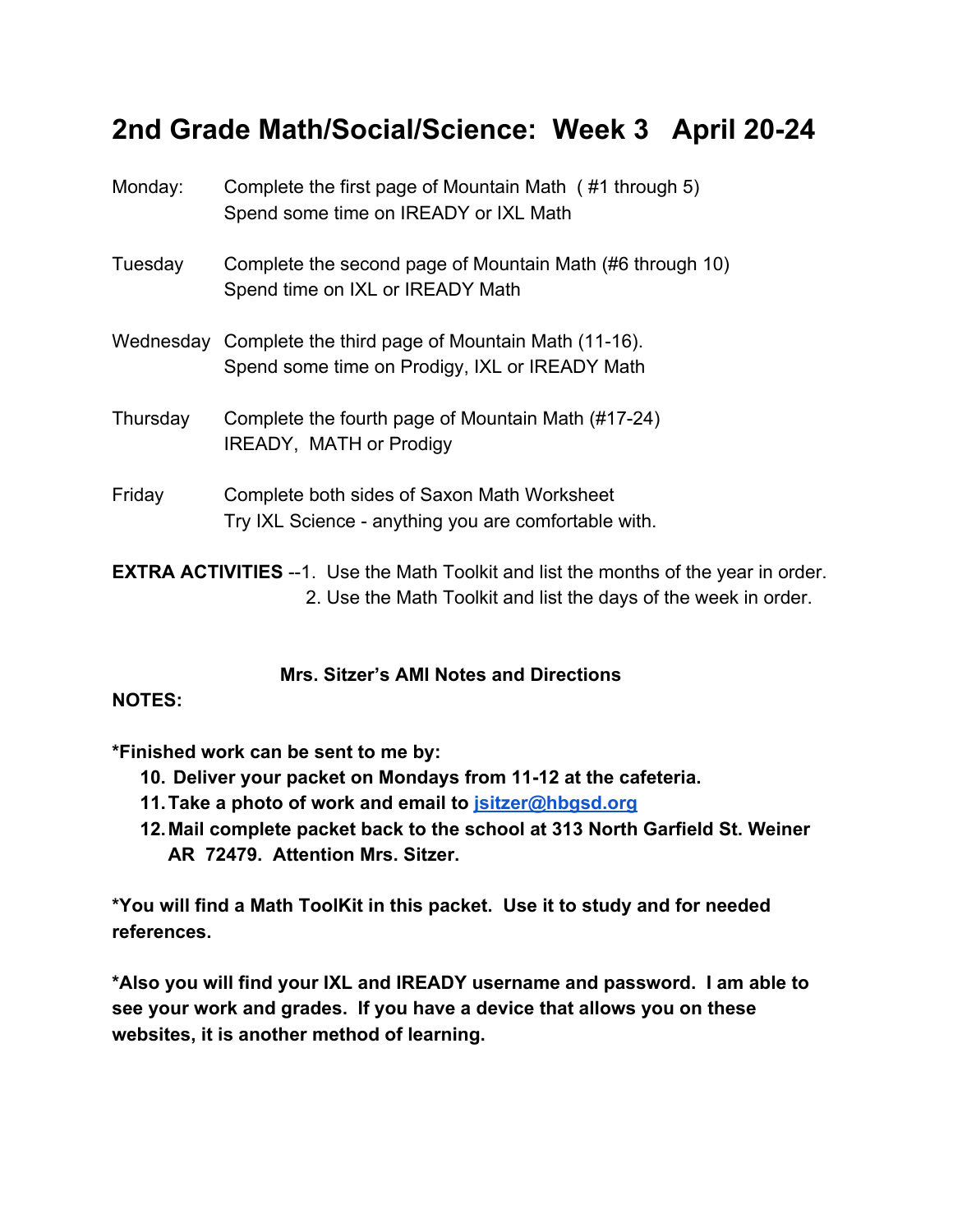# **2nd Grade Math/Social/Science: Week 3 April 20-24**

| Monday:                                                                                     | Complete the first page of Mountain Math (#1 through 5)<br>Spend some time on IREADY or IXL Math              |
|---------------------------------------------------------------------------------------------|---------------------------------------------------------------------------------------------------------------|
| Tuesday                                                                                     | Complete the second page of Mountain Math (#6 through 10)<br>Spend time on IXL or IREADY Math                 |
|                                                                                             | Wednesday Complete the third page of Mountain Math (11-16).<br>Spend some time on Prodigy, IXL or IREADY Math |
| Thursday                                                                                    | Complete the fourth page of Mountain Math (#17-24)<br>IREADY, MATH or Prodigy                                 |
| Friday                                                                                      | Complete both sides of Saxon Math Worksheet<br>Try IXL Science - anything you are comfortable with.           |
| <b>EXTRA ACTIVITIES</b> --1. Use the Math Toolkit and list the months of the year in order. |                                                                                                               |

### **Mrs. Sitzer's AMI Notes and Directions**

2. Use the Math Toolkit and list the days of the week in order.

#### **NOTES:**

**\*Finished work can be sent to me by:**

- **10. Deliver your packet on Mondays from 11-12 at the cafeteria.**
- **11.Take a photo of work and email to [jsitzer@hbgsd.org](mailto:jsitzer@hbgsd.org)**
- **12.Mail complete packet back to the school at 313 North Garfield St. Weiner AR 72479. Attention Mrs. Sitzer.**

**\*You will find a Math ToolKit in this packet. Use it to study and for needed references.**

**\*Also you will find your IXL and IREADY username and password. I am able to see your work and grades. If you have a device that allows you on these websites, it is another method of learning.**